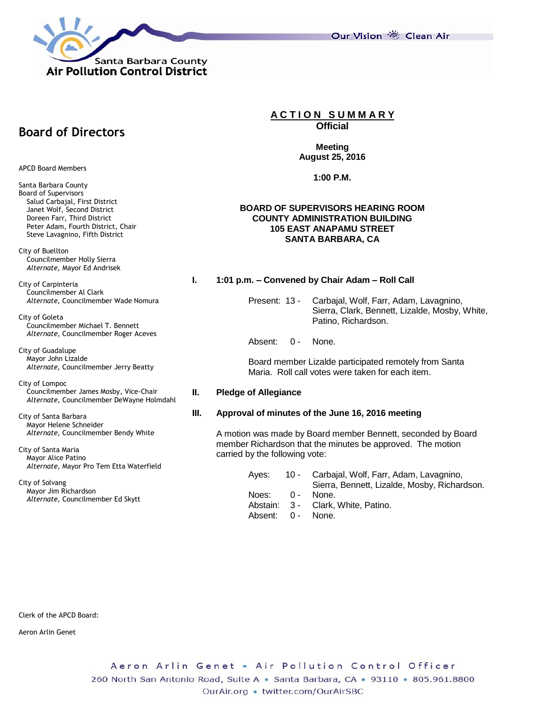

Our Vision 卷 Clean Air

**Meeting August 25, 2016**

**A C T I O N S U M M A R Y Official**

**1:00 P.M.**

#### **BOARD OF SUPERVISORS HEARING ROOM COUNTY ADMINISTRATION BUILDING 105 EAST ANAPAMU STREET SANTA BARBARA, CA**

#### **I. 1:01 p.m. – Convened by Chair Adam – Roll Call**

Present: 13 - Carbajal, Wolf, Farr, Adam, Lavagnino, Sierra, Clark, Bennett, Lizalde, Mosby, White, Patino, Richardson.

Absent: 0 - None.

Board member Lizalde participated remotely from Santa Maria. Roll call votes were taken for each item.

#### **II. Pledge of Allegiance**

#### **III. Approval of minutes of the June 16, 2016 meeting**

A motion was made by Board member Bennett, seconded by Board member Richardson that the minutes be approved. The motion carried by the following vote:

> Ayes: 10 - Carbajal, Wolf, Farr, Adam, Lavagnino, Sierra, Bennett, Lizalde, Mosby, Richardson. Noes: 0 - None. Abstain: 3 - Clark, White, Patino. Absent: 0 - None.

# **Board of Directors**

APCD Board Members

Santa Barbara County Board of Supervisors Salud Carbajal, First District Janet Wolf, Second District Doreen Farr, Third District Peter Adam, Fourth District, Chair Steve Lavagnino, Fifth District

City of Buellton Councilmember Holly Sierra *Alternate*, Mayor Ed Andrisek

City of Carpinteria Councilmember Al Clark *Alternate*, Councilmember Wade Nomura

City of Goleta Councilmember Michael T. Bennett *Alternate*, Councilmember Roger Aceves

City of Guadalupe Mayor John Lizalde *Alternate*, Councilmember Jerry Beatty

City of Lompoc Councilmember James Mosby, Vice-Chair *Alternate*, Councilmember DeWayne Holmdahl

City of Santa Barbara Mayor Helene Schneider *Alternate*, Councilmember Bendy White

City of Santa Maria Mayor Alice Patino *Alternate*, Mayor Pro Tem Etta Waterfield

City of Solvang Mayor Jim Richardson *Alternate*, Councilmember Ed Skytt

Clerk of the APCD Board:

Aeron Arlin Genet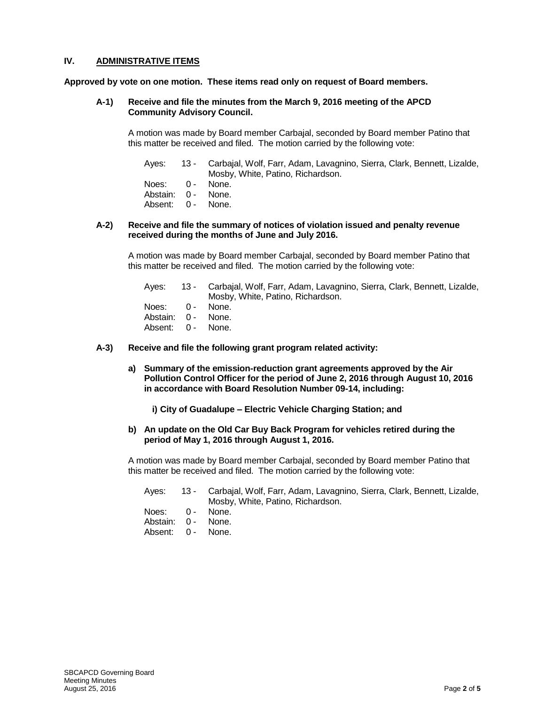# **IV. ADMINISTRATIVE ITEMS**

**Approved by vote on one motion. These items read only on request of Board members.**

#### **A-1) Receive and file the minutes from the March 9, 2016 meeting of the APCD Community Advisory Council.**

A motion was made by Board member Carbajal, seconded by Board member Patino that this matter be received and filed. The motion carried by the following vote:

Ayes: 13 - Carbajal, Wolf, Farr, Adam, Lavagnino, Sierra, Clark, Bennett, Lizalde, Mosby, White, Patino, Richardson. Noes: 0 - None. Abstain: 0 - None. Absent: 0 - None.

#### **A-2) Receive and file the summary of notices of violation issued and penalty revenue received during the months of June and July 2016.**

A motion was made by Board member Carbajal, seconded by Board member Patino that this matter be received and filed. The motion carried by the following vote:

Ayes: 13 - Carbajal, Wolf, Farr, Adam, Lavagnino, Sierra, Clark, Bennett, Lizalde, Mosby, White, Patino, Richardson. Noes: 0 - None. Abstain: 0 - None.

- Absent: 0 None.
- **A-3) Receive and file the following grant program related activity:**
	- **a) Summary of the emission-reduction grant agreements approved by the Air Pollution Control Officer for the period of June 2, 2016 through August 10, 2016 in accordance with Board Resolution Number 09-14, including:**

**i) City of Guadalupe – Electric Vehicle Charging Station; and**

#### **b) An update on the Old Car Buy Back Program for vehicles retired during the period of May 1, 2016 through August 1, 2016.**

A motion was made by Board member Carbajal, seconded by Board member Patino that this matter be received and filed. The motion carried by the following vote:

|                    | Ayes: 13 - Carbajal, Wolf, Farr, Adam, Lavagnino, Sierra, Clark, Bennett, Lizalde,<br>Mosby, White, Patino, Richardson. |
|--------------------|-------------------------------------------------------------------------------------------------------------------------|
| Noes: 0 - None.    |                                                                                                                         |
| Abstain: 0 - None. |                                                                                                                         |
| Absent: 0 - None.  |                                                                                                                         |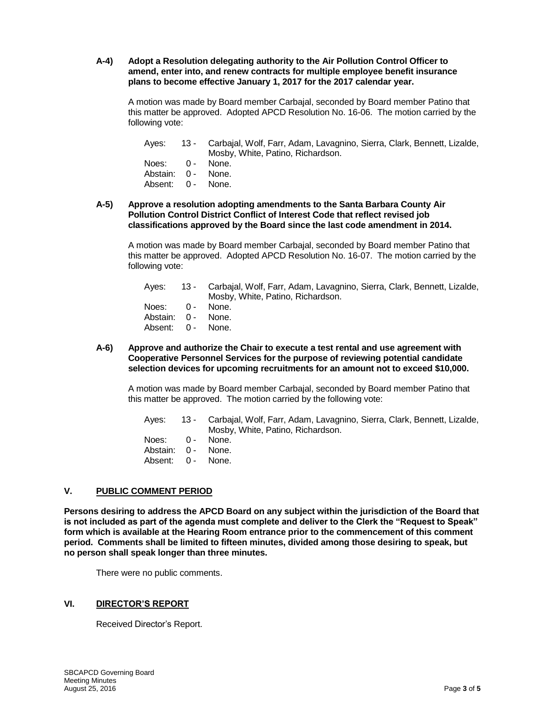#### **A-4) Adopt a Resolution delegating authority to the Air Pollution Control Officer to amend, enter into, and renew contracts for multiple employee benefit insurance plans to become effective January 1, 2017 for the 2017 calendar year.**

A motion was made by Board member Carbajal, seconded by Board member Patino that this matter be approved. Adopted APCD Resolution No. 16-06. The motion carried by the following vote:

Ayes: 13 - Carbajal, Wolf, Farr, Adam, Lavagnino, Sierra, Clark, Bennett, Lizalde, Mosby, White, Patino, Richardson.

| Noes:    | $0 -$ | None. |
|----------|-------|-------|
| Abstain: | $0 -$ | None. |
| Absent:  | $0 -$ | None. |

**A-5) Approve a resolution adopting amendments to the Santa Barbara County Air Pollution Control District Conflict of Interest Code that reflect revised job classifications approved by the Board since the last code amendment in 2014.**

A motion was made by Board member Carbajal, seconded by Board member Patino that this matter be approved. Adopted APCD Resolution No. 16-07. The motion carried by the following vote:

| Aves:              | 13 - Carbajal, Wolf, Farr, Adam, Lavagnino, Sierra, Clark, Bennett, Lizalde,<br>Mosby, White, Patino, Richardson. |
|--------------------|-------------------------------------------------------------------------------------------------------------------|
| Noes: 0 - None.    |                                                                                                                   |
| Abstain: 0 - None. |                                                                                                                   |
| Absent: 0 - None.  |                                                                                                                   |

#### **A-6) Approve and authorize the Chair to execute a test rental and use agreement with Cooperative Personnel Services for the purpose of reviewing potential candidate selection devices for upcoming recruitments for an amount not to exceed \$10,000.**

A motion was made by Board member Carbajal, seconded by Board member Patino that this matter be approved. The motion carried by the following vote:

Ayes: 13 - Carbajal, Wolf, Farr, Adam, Lavagnino, Sierra, Clark, Bennett, Lizalde, Mosby, White, Patino, Richardson. Noes: 0 - None. Abstain: 0 - None. Absent: 0 - None.

# **V. PUBLIC COMMENT PERIOD**

**Persons desiring to address the APCD Board on any subject within the jurisdiction of the Board that is not included as part of the agenda must complete and deliver to the Clerk the "Request to Speak" form which is available at the Hearing Room entrance prior to the commencement of this comment period. Comments shall be limited to fifteen minutes, divided among those desiring to speak, but no person shall speak longer than three minutes.**

There were no public comments.

# **VI. DIRECTOR'S REPORT**

Received Director's Report.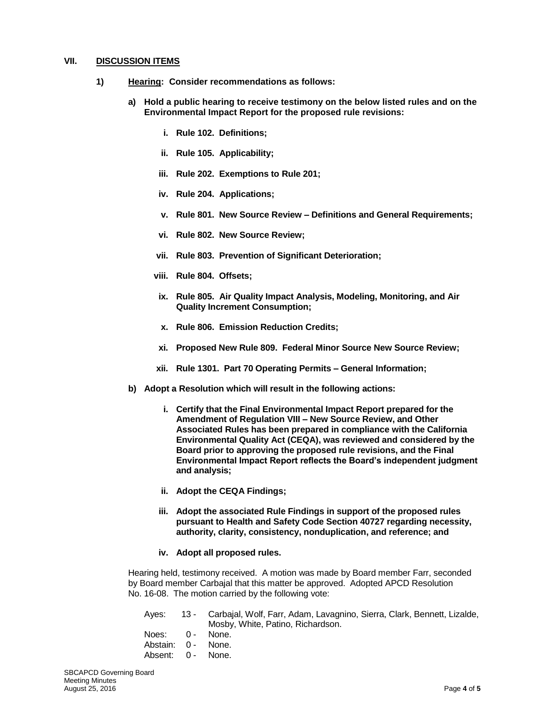#### **VII. DISCUSSION ITEMS**

- **1) Hearing: Consider recommendations as follows:** 
	- **a) Hold a public hearing to receive testimony on the below listed rules and on the Environmental Impact Report for the proposed rule revisions:**
		- **i. Rule 102. Definitions;**
		- **ii. Rule 105. Applicability;**
		- **iii. Rule 202. Exemptions to Rule 201;**
		- **iv. Rule 204. Applications;**
		- **v. Rule 801. New Source Review – Definitions and General Requirements;**
		- **vi. Rule 802. New Source Review;**
		- **vii. Rule 803. Prevention of Significant Deterioration;**
		- **viii. Rule 804. Offsets;**
		- **ix. Rule 805. Air Quality Impact Analysis, Modeling, Monitoring, and Air Quality Increment Consumption;**
		- **x. Rule 806. Emission Reduction Credits;**
		- **xi. Proposed New Rule 809. Federal Minor Source New Source Review;**
		- **xii. Rule 1301. Part 70 Operating Permits – General Information;**
	- **b) Adopt a Resolution which will result in the following actions:**
		- **i. Certify that the Final Environmental Impact Report prepared for the Amendment of Regulation VIII – New Source Review, and Other Associated Rules has been prepared in compliance with the California Environmental Quality Act (CEQA), was reviewed and considered by the Board prior to approving the proposed rule revisions, and the Final Environmental Impact Report reflects the Board's independent judgment and analysis;**
		- **ii. Adopt the CEQA Findings;**
		- **iii. Adopt the associated Rule Findings in support of the proposed rules pursuant to Health and Safety Code Section 40727 regarding necessity, authority, clarity, consistency, nonduplication, and reference; and**
		- **iv. Adopt all proposed rules.**

Hearing held, testimony received. A motion was made by Board member Farr, seconded by Board member Carbajal that this matter be approved. Adopted APCD Resolution No. 16-08. The motion carried by the following vote:

|                    | Ayes: 13 - Carbajal, Wolf, Farr, Adam, Lavagnino, Sierra, Clark, Bennett, Lizalde, |
|--------------------|------------------------------------------------------------------------------------|
|                    | Mosby, White, Patino, Richardson.                                                  |
| Noes: 0 - None.    |                                                                                    |
| Abstain: 0 - None. |                                                                                    |
| Absent: 0 - None.  |                                                                                    |